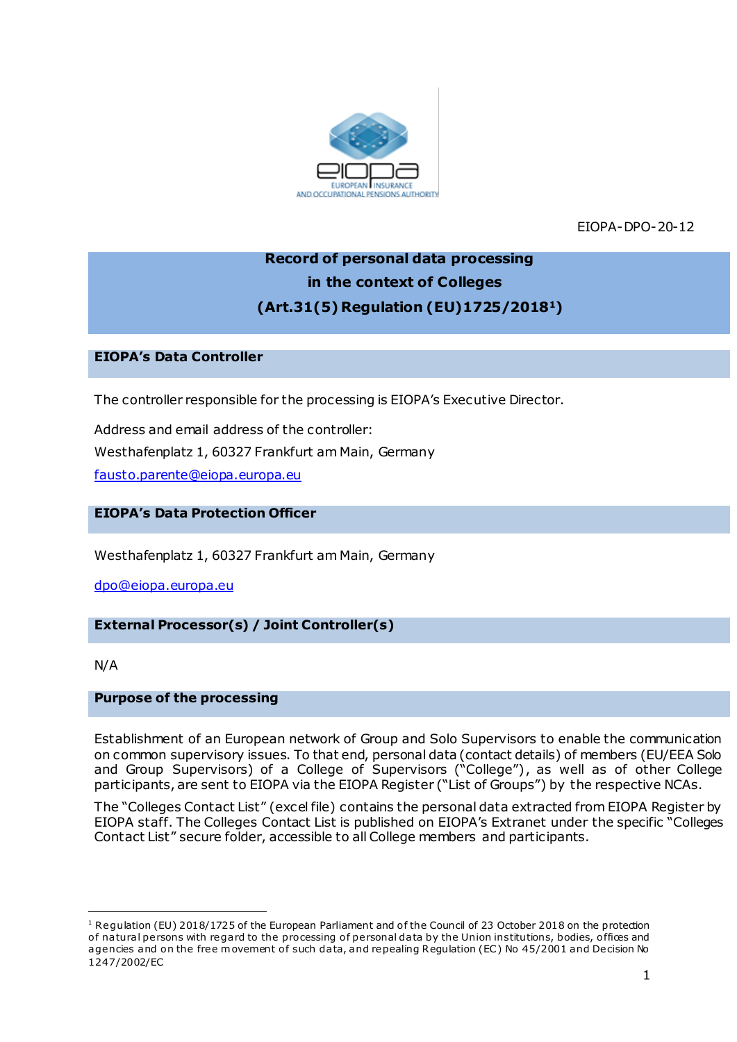

EIOPA-DPO-20-12

# **Record of personal data processing in the context of Colleges (Art.31(5) Regulation (EU)1725/20181)**

#### **EIOPA's Data Controller**

The controller responsible for the processing is EIOPA's Executive Director.

Address and email address of the controller: Westhafenplatz 1, 60327 Frankfurt am Main, Germany [fausto.parente@eiopa.europa.eu](mailto:fausto.parente@eiopa.europa.eu)

# **EIOPA's Data Protection Officer**

Westhafenplatz 1, 60327 Frankfurt am Main, Germany

[dpo@eiopa.europa.eu](mailto:dpo@eiopa.europa.eu)

## **External Processor(s) / Joint Controller(s)**

N/A

.

### **Purpose of the processing**

Establishment of an European network of Group and Solo Supervisors to enable the communication on common supervisory issues. To that end, personal data (contact details) of members (EU/EEA Solo and Group Supervisors) of a College of Supervisors ("College"), as well as of other College participants, are sent to EIOPA via the EIOPA Register ("List of Groups") by the respective NCAs.

The "Colleges Contact List" (excel file) contains the personal data extracted from EIOPA Register by EIOPA staff. The Colleges Contact List is published on EIOPA's Extranet under the specific "Colleges Contact List" secure folder, accessible to all College members and participants.

<sup>&</sup>lt;sup>1</sup> Regulation (EU) 2018/1725 of the European Parliament and of the Council of 23 October 2018 on the protection of natural persons with regard to the processing of personal data by the Union institutions, bodies, offices and agencies and on the free movement of such data, and repealing Regulation (EC) No 45/2001 and Decision No 1247/2002/EC